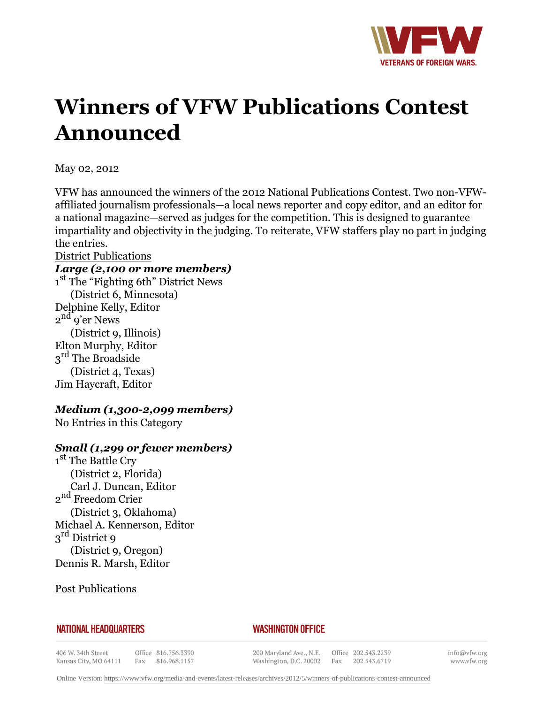

# **Winners of VFW Publications Contest Announced**

May 02, 2012

VFW has announced the winners of the 2012 National Publications Contest. Two non-VFWaffiliated journalism professionals—a local news reporter and copy editor, and an editor for a national magazine—served as judges for the competition. This is designed to guarantee impartiality and objectivity in the judging. To reiterate, VFW staffers play no part in judging the entries.

#### District Publications

#### *Large (2,100 or more members)*

1<sup>st</sup> The "Fighting 6th" District News (District 6, Minnesota) Delphine Kelly, Editor 2<sup>nd</sup><sup>o</sup>'er News (District 9, Illinois) Elton Murphy, Editor 3<sup>rd</sup> The Broadside (District 4, Texas) Jim Haycraft, Editor

## *Medium (1,300-2,099 members)*

No Entries in this Category

## *Small (1,299 or fewer members)*

1<sup>st</sup> The Battle Cry (District 2, Florida) Carl J. Duncan, Editor 2<sup>nd</sup> Freedom Crier (District 3, Oklahoma) Michael A. Kennerson, Editor 3<sup>rd</sup> District 9 (District 9, Oregon) Dennis R. Marsh, Editor

Post Publications

#### **NATIONAL HEADQUARTERS**

## *WASHINGTON OFFICE*

406 W. 34th Street Kansas City, MO 64111

Office 816.756.3390 Fax 816.968.1157

200 Maryland Ave., N.E. Washington, D.C. 20002 Fax

Office 202.543.2239 202.543.6719

info@vfw.org www.vfw.org

Online Version:<https://www.vfw.org/media-and-events/latest-releases/archives/2012/5/winners-of-publications-contest-announced>